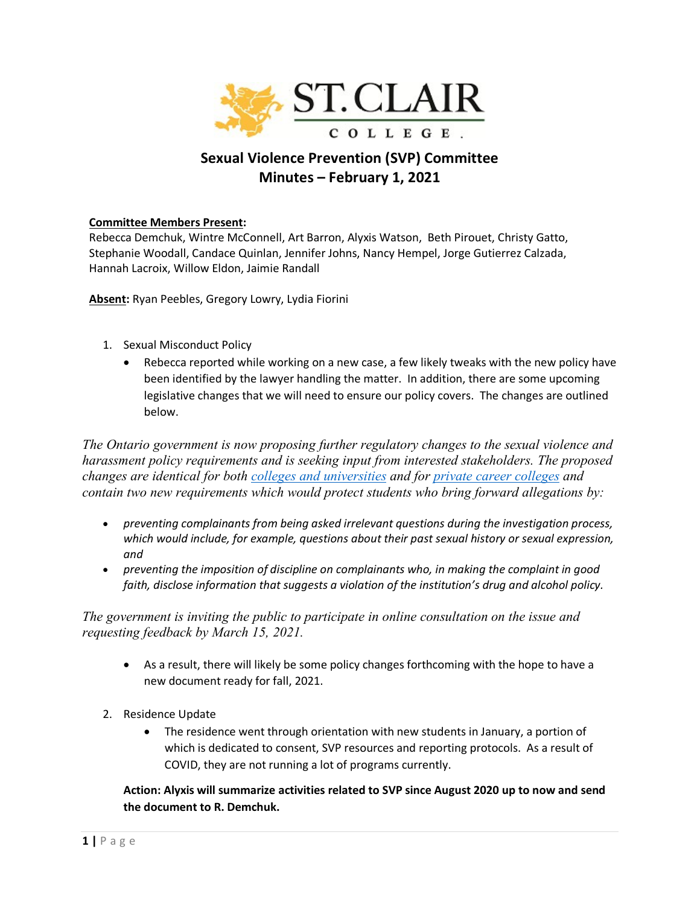

## **Sexual Violence Prevention (SVP) Committee Minutes – February 1, 2021**

## **Committee Members Present:**

Rebecca Demchuk, Wintre McConnell, Art Barron, Alyxis Watson, Beth Pirouet, Christy Gatto, Stephanie Woodall, Candace Quinlan, Jennifer Johns, Nancy Hempel, Jorge Gutierrez Calzada, Hannah Lacroix, Willow Eldon, Jaimie Randall

**Absent:** Ryan Peebles, Gregory Lowry, Lydia Fiorini

- 1. Sexual Misconduct Policy
	- Rebecca reported while working on a new case, a few likely tweaks with the new policy have been identified by the lawyer handling the matter. In addition, there are some upcoming legislative changes that we will need to ensure our policy covers. The changes are outlined below.

*The Ontario government is now proposing further regulatory changes to the sexual violence and harassment policy requirements and is seeking input from interested stakeholders. The proposed changes are identical for both [colleges and universities](https://www.ontariocanada.com/registry/view.do?postingId=35987&language=en) and for [private career colleges](https://www.ontariocanada.com/registry/view.do?postingId=36007&language=en) and contain two new requirements which would protect students who bring forward allegations by:*

- *preventing complainants from being asked irrelevant questions during the investigation process, which would include, for example, questions about their past sexual history or sexual expression, and*
- *preventing the imposition of discipline on complainants who, in making the complaint in good faith, disclose information that suggests a violation of the institution's drug and alcohol policy.*

*The government is inviting the public to participate in online consultation on the issue and requesting feedback by March 15, 2021.*

- As a result, there will likely be some policy changes forthcoming with the hope to have a new document ready for fall, 2021.
- 2. Residence Update
	- The residence went through orientation with new students in January, a portion of which is dedicated to consent, SVP resources and reporting protocols. As a result of COVID, they are not running a lot of programs currently.

**Action: Alyxis will summarize activities related to SVP since August 2020 up to now and send the document to R. Demchuk.**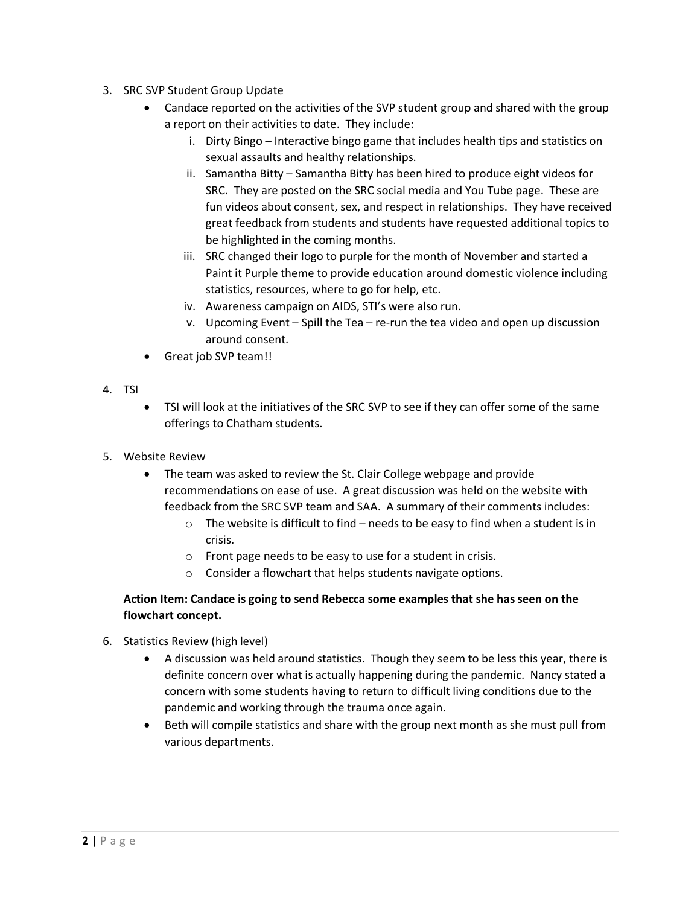- 3. SRC SVP Student Group Update
	- Candace reported on the activities of the SVP student group and shared with the group a report on their activities to date. They include:
		- i. Dirty Bingo Interactive bingo game that includes health tips and statistics on sexual assaults and healthy relationships.
		- ii. Samantha Bitty Samantha Bitty has been hired to produce eight videos for SRC. They are posted on the SRC social media and You Tube page. These are fun videos about consent, sex, and respect in relationships. They have received great feedback from students and students have requested additional topics to be highlighted in the coming months.
		- iii. SRC changed their logo to purple for the month of November and started a Paint it Purple theme to provide education around domestic violence including statistics, resources, where to go for help, etc.
		- iv. Awareness campaign on AIDS, STI's were also run.
		- v. Upcoming Event Spill the Tea re-run the tea video and open up discussion around consent.
	- Great job SVP team!!
- 4. TSI
- TSI will look at the initiatives of the SRC SVP to see if they can offer some of the same offerings to Chatham students.
- 5. Website Review
	- The team was asked to review the St. Clair College webpage and provide recommendations on ease of use. A great discussion was held on the website with feedback from the SRC SVP team and SAA. A summary of their comments includes:
		- $\circ$  The website is difficult to find needs to be easy to find when a student is in crisis.
		- o Front page needs to be easy to use for a student in crisis.
		- o Consider a flowchart that helps students navigate options.

## **Action Item: Candace is going to send Rebecca some examples that she has seen on the flowchart concept.**

- 6. Statistics Review (high level)
	- A discussion was held around statistics. Though they seem to be less this year, there is definite concern over what is actually happening during the pandemic. Nancy stated a concern with some students having to return to difficult living conditions due to the pandemic and working through the trauma once again.
	- Beth will compile statistics and share with the group next month as she must pull from various departments.